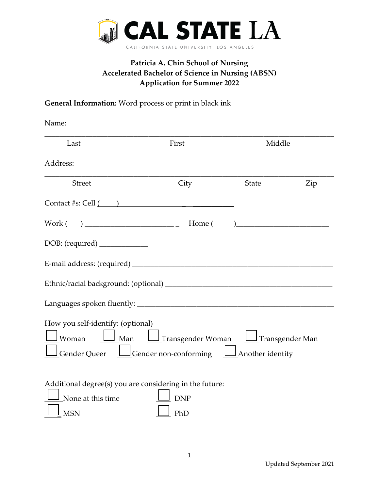

## **Patricia A. Chin School of Nursing Accelerated Bachelor of Science in Nursing (ABSN) Application for Summer 2022**

## **General Information:** Word process or print in black ink

| Name:                                                                                                                                                                               |                                           |              |     |
|-------------------------------------------------------------------------------------------------------------------------------------------------------------------------------------|-------------------------------------------|--------------|-----|
| Last                                                                                                                                                                                | First                                     | Middle       |     |
| Address:                                                                                                                                                                            |                                           |              |     |
| <b>Street</b>                                                                                                                                                                       | City                                      | <b>State</b> | Zip |
| Contact #s: Cell $\qquad)$                                                                                                                                                          |                                           |              |     |
| $Work(\_)$ Home $(\_)$                                                                                                                                                              |                                           |              |     |
| DOB: (required) _____________                                                                                                                                                       |                                           |              |     |
|                                                                                                                                                                                     |                                           |              |     |
|                                                                                                                                                                                     |                                           |              |     |
|                                                                                                                                                                                     |                                           |              |     |
| How you self-identify: (optional)<br>$\mathsf{\,I}$ Woman<br>$\underline{\int}$ Gender Queer $\underline{\bigsqcup}$ Gender non-conforming $\underline{\bigsqcup}$ Another identity | Man   Transgender Woman   Transgender Man |              |     |
| Additional degree(s) you are considering in the future:<br>None at this time<br><b>MSN</b>                                                                                          | <b>DNP</b><br>PhD                         |              |     |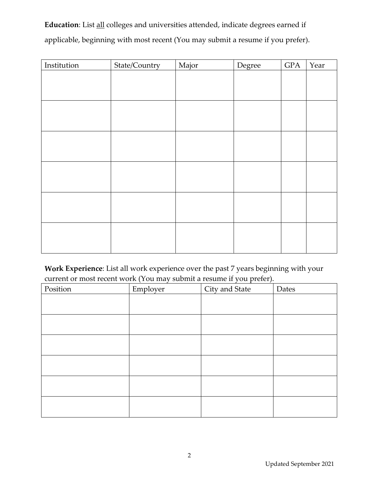**Education**: List all colleges and universities attended, indicate degrees earned if applicable, beginning with most recent (You may submit a resume if you prefer).

| Institution | State/Country | Major | Degree | $\rm GPA$ | Year |
|-------------|---------------|-------|--------|-----------|------|
|             |               |       |        |           |      |
|             |               |       |        |           |      |
|             |               |       |        |           |      |
|             |               |       |        |           |      |
|             |               |       |        |           |      |
|             |               |       |        |           |      |
|             |               |       |        |           |      |
|             |               |       |        |           |      |
|             |               |       |        |           |      |
|             |               |       |        |           |      |
|             |               |       |        |           |      |
|             |               |       |        |           |      |
|             |               |       |        |           |      |
|             |               |       |        |           |      |
|             |               |       |        |           |      |
|             |               |       |        |           |      |
|             |               |       |        |           |      |
|             |               |       |        |           |      |

**Work Experience**: List all work experience over the past 7 years beginning with your current or most recent work (You may submit a resume if you prefer).

| Position | $\sim$<br>Employer | $\overline{\phantom{a}}$<br>City and State | Dates |
|----------|--------------------|--------------------------------------------|-------|
|          |                    |                                            |       |
|          |                    |                                            |       |
|          |                    |                                            |       |
|          |                    |                                            |       |
|          |                    |                                            |       |
|          |                    |                                            |       |
|          |                    |                                            |       |
|          |                    |                                            |       |
|          |                    |                                            |       |
|          |                    |                                            |       |
|          |                    |                                            |       |
|          |                    |                                            |       |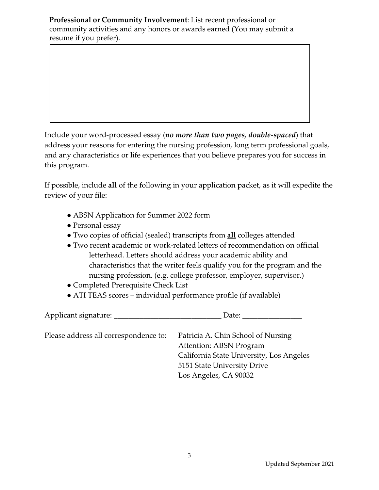**Professional or Community Involvement**: List recent professional or community activities and any honors or awards earned (You may submit a resume if you prefer).

Include your word-processed essay (*no more than two pages, double-spaced*) that address your reasons for entering the nursing profession, long term professional goals, and any characteristics or life experiences that you believe prepares you for success in this program.

If possible, include **all** of the following in your application packet, as it will expedite the review of your file:

- ABSN Application for Summer 2022 form
- Personal essay
- Two copies of official (sealed) transcripts from **all** colleges attended
- Two recent academic or work-related letters of recommendation on official letterhead. Letters should address your academic ability and characteristics that the writer feels qualify you for the program and the nursing profession. (e.g. college professor, employer, supervisor.)
- Completed Prerequisite Check List
- ATI TEAS scores individual performance profile (if available)

Applicant signature: \_\_\_\_\_\_\_\_\_\_\_\_\_\_\_\_\_\_\_\_\_\_\_\_\_\_\_\_\_\_\_\_\_\_Date: \_ Please address all correspondence to: Patricia A. Chin School of Nursing Attention: ABSN Program California State University, Los Angeles 5151 State University Drive Los Angeles, CA 90032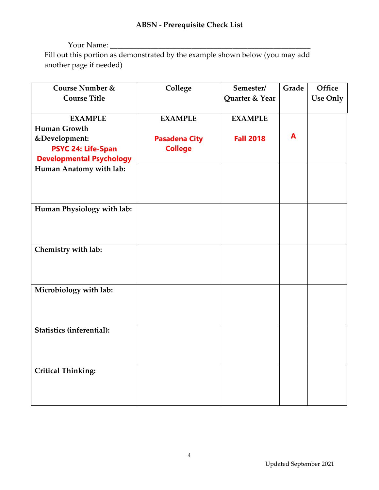## Your Name: \_\_\_\_\_\_\_\_\_\_\_\_\_\_\_\_\_\_\_\_\_\_\_\_\_\_\_\_\_\_\_\_\_\_\_\_\_\_\_\_\_\_\_\_\_\_\_\_\_\_\_\_\_\_ Fill out this portion as demonstrated by the example shown below (you may add another page if needed)

| Course Number &                  | College              | Semester/        | Grade | Office          |
|----------------------------------|----------------------|------------------|-------|-----------------|
| <b>Course Title</b>              |                      | Quarter & Year   |       | <b>Use Only</b> |
|                                  |                      |                  |       |                 |
| <b>EXAMPLE</b>                   | <b>EXAMPLE</b>       | <b>EXAMPLE</b>   |       |                 |
| <b>Human Growth</b>              |                      |                  |       |                 |
| &Development:                    | <b>Pasadena City</b> | <b>Fall 2018</b> | A     |                 |
| <b>PSYC 24: Life-Span</b>        | <b>College</b>       |                  |       |                 |
| <b>Developmental Psychology</b>  |                      |                  |       |                 |
| Human Anatomy with lab:          |                      |                  |       |                 |
|                                  |                      |                  |       |                 |
|                                  |                      |                  |       |                 |
|                                  |                      |                  |       |                 |
| Human Physiology with lab:       |                      |                  |       |                 |
|                                  |                      |                  |       |                 |
|                                  |                      |                  |       |                 |
|                                  |                      |                  |       |                 |
| Chemistry with lab:              |                      |                  |       |                 |
|                                  |                      |                  |       |                 |
|                                  |                      |                  |       |                 |
|                                  |                      |                  |       |                 |
| Microbiology with lab:           |                      |                  |       |                 |
|                                  |                      |                  |       |                 |
|                                  |                      |                  |       |                 |
| <b>Statistics (inferential):</b> |                      |                  |       |                 |
|                                  |                      |                  |       |                 |
|                                  |                      |                  |       |                 |
|                                  |                      |                  |       |                 |
| <b>Critical Thinking:</b>        |                      |                  |       |                 |
|                                  |                      |                  |       |                 |
|                                  |                      |                  |       |                 |
|                                  |                      |                  |       |                 |